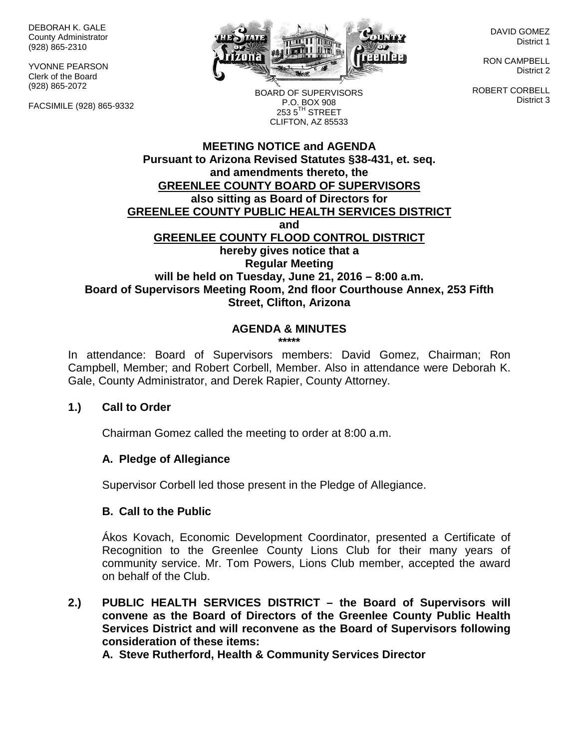DEBORAH K. GALE County Administrator (928) 865-2310

YVONNE PEARSON Clerk of the Board (928) 865-2072

FACSIMILE (928) 865-9332



DAVID GOMEZ District 1

RON CAMPBELL District 2

ROBERT CORBELL District 3

BOARD OF SUPERVISORS P.O. BOX 908  $253.5$ <sup>TH</sup> STREET CLIFTON, AZ 85533

## **MEETING NOTICE and AGENDA Pursuant to Arizona Revised Statutes §38-431, et. seq. and amendments thereto, the GREENLEE COUNTY BOARD OF SUPERVISORS also sitting as Board of Directors for GREENLEE COUNTY PUBLIC HEALTH SERVICES DISTRICT and GREENLEE COUNTY FLOOD CONTROL DISTRICT hereby gives notice that a Regular Meeting will be held on Tuesday, June 21, 2016 – 8:00 a.m. Board of Supervisors Meeting Room, 2nd floor Courthouse Annex, 253 Fifth Street, Clifton, Arizona**

#### **AGENDA & MINUTES \*\*\*\*\***

In attendance: Board of Supervisors members: David Gomez, Chairman; Ron Campbell, Member; and Robert Corbell, Member. Also in attendance were Deborah K. Gale, County Administrator, and Derek Rapier, County Attorney.

## **1.) Call to Order**

Chairman Gomez called the meeting to order at 8:00 a.m.

#### **A. Pledge of Allegiance**

Supervisor Corbell led those present in the Pledge of Allegiance.

## **B. Call to the Public**

Ákos Kovach, Economic Development Coordinator, presented a Certificate of Recognition to the Greenlee County Lions Club for their many years of community service. Mr. Tom Powers, Lions Club member, accepted the award on behalf of the Club.

**2.) PUBLIC HEALTH SERVICES DISTRICT – the Board of Supervisors will convene as the Board of Directors of the Greenlee County Public Health Services District and will reconvene as the Board of Supervisors following consideration of these items:**

**A. Steve Rutherford, Health & Community Services Director**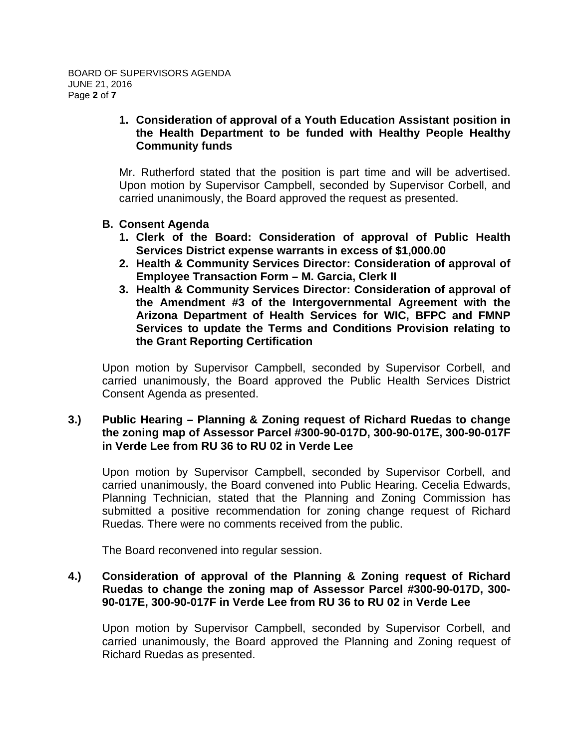## **1. Consideration of approval of a Youth Education Assistant position in the Health Department to be funded with Healthy People Healthy Community funds**

Mr. Rutherford stated that the position is part time and will be advertised. Upon motion by Supervisor Campbell, seconded by Supervisor Corbell, and carried unanimously, the Board approved the request as presented.

- **B. Consent Agenda**
	- **1. Clerk of the Board: Consideration of approval of Public Health Services District expense warrants in excess of \$1,000.00**
	- **2. Health & Community Services Director: Consideration of approval of Employee Transaction Form – M. Garcia, Clerk II**
	- **3. Health & Community Services Director: Consideration of approval of the Amendment #3 of the Intergovernmental Agreement with the Arizona Department of Health Services for WIC, BFPC and FMNP Services to update the Terms and Conditions Provision relating to the Grant Reporting Certification**

Upon motion by Supervisor Campbell, seconded by Supervisor Corbell, and carried unanimously, the Board approved the Public Health Services District Consent Agenda as presented.

#### **3.) Public Hearing – Planning & Zoning request of Richard Ruedas to change the zoning map of Assessor Parcel #300-90-017D, 300-90-017E, 300-90-017F in Verde Lee from RU 36 to RU 02 in Verde Lee**

Upon motion by Supervisor Campbell, seconded by Supervisor Corbell, and carried unanimously, the Board convened into Public Hearing. Cecelia Edwards, Planning Technician, stated that the Planning and Zoning Commission has submitted a positive recommendation for zoning change request of Richard Ruedas. There were no comments received from the public.

The Board reconvened into regular session.

#### **4.) Consideration of approval of the Planning & Zoning request of Richard Ruedas to change the zoning map of Assessor Parcel #300-90-017D, 300- 90-017E, 300-90-017F in Verde Lee from RU 36 to RU 02 in Verde Lee**

Upon motion by Supervisor Campbell, seconded by Supervisor Corbell, and carried unanimously, the Board approved the Planning and Zoning request of Richard Ruedas as presented.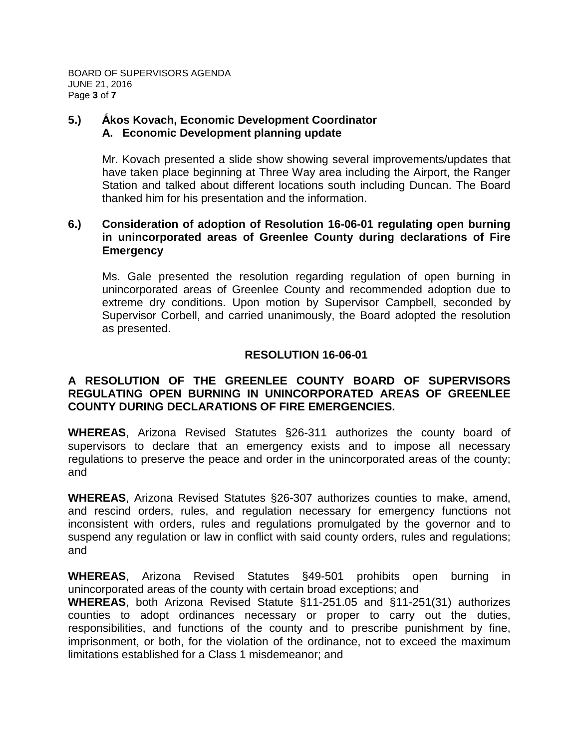BOARD OF SUPERVISORS AGENDA JUNE 21, 2016 Page **3** of **7**

#### **5.) Ấkos Kovach, Economic Development Coordinator A. Economic Development planning update**

Mr. Kovach presented a slide show showing several improvements/updates that have taken place beginning at Three Way area including the Airport, the Ranger Station and talked about different locations south including Duncan. The Board thanked him for his presentation and the information.

## **6.) Consideration of adoption of Resolution 16-06-01 regulating open burning in unincorporated areas of Greenlee County during declarations of Fire Emergency**

Ms. Gale presented the resolution regarding regulation of open burning in unincorporated areas of Greenlee County and recommended adoption due to extreme dry conditions. Upon motion by Supervisor Campbell, seconded by Supervisor Corbell, and carried unanimously, the Board adopted the resolution as presented.

# **RESOLUTION 16-06-01**

## **A RESOLUTION OF THE GREENLEE COUNTY BOARD OF SUPERVISORS REGULATING OPEN BURNING IN UNINCORPORATED AREAS OF GREENLEE COUNTY DURING DECLARATIONS OF FIRE EMERGENCIES.**

**WHEREAS**, Arizona Revised Statutes §26-311 authorizes the county board of supervisors to declare that an emergency exists and to impose all necessary regulations to preserve the peace and order in the unincorporated areas of the county; and

**WHEREAS**, Arizona Revised Statutes §26-307 authorizes counties to make, amend, and rescind orders, rules, and regulation necessary for emergency functions not inconsistent with orders, rules and regulations promulgated by the governor and to suspend any regulation or law in conflict with said county orders, rules and regulations; and

**WHEREAS**, Arizona Revised Statutes §49-501 prohibits open burning in unincorporated areas of the county with certain broad exceptions; and

**WHEREAS**, both Arizona Revised Statute §11-251.05 and §11-251(31) authorizes counties to adopt ordinances necessary or proper to carry out the duties, responsibilities, and functions of the county and to prescribe punishment by fine, imprisonment, or both, for the violation of the ordinance, not to exceed the maximum limitations established for a Class 1 misdemeanor; and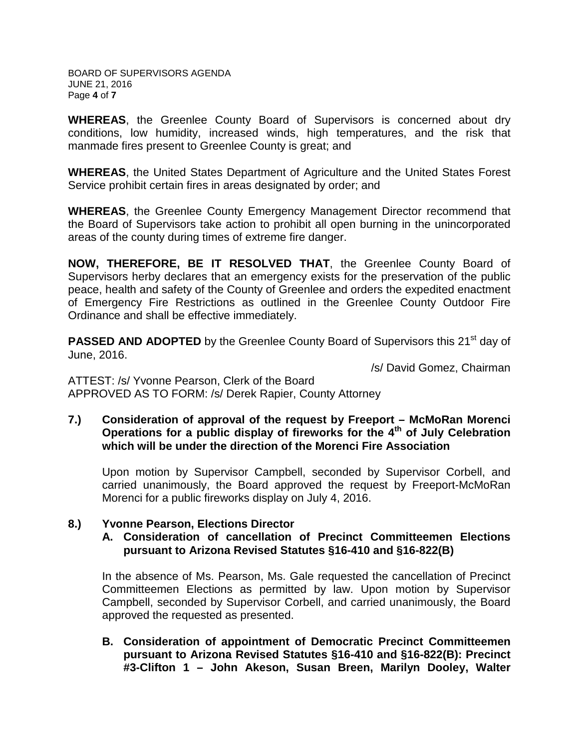BOARD OF SUPERVISORS AGENDA JUNE 21, 2016 Page **4** of **7**

**WHEREAS**, the Greenlee County Board of Supervisors is concerned about dry conditions, low humidity, increased winds, high temperatures, and the risk that manmade fires present to Greenlee County is great; and

**WHEREAS**, the United States Department of Agriculture and the United States Forest Service prohibit certain fires in areas designated by order; and

**WHEREAS**, the Greenlee County Emergency Management Director recommend that the Board of Supervisors take action to prohibit all open burning in the unincorporated areas of the county during times of extreme fire danger.

**NOW, THEREFORE, BE IT RESOLVED THAT**, the Greenlee County Board of Supervisors herby declares that an emergency exists for the preservation of the public peace, health and safety of the County of Greenlee and orders the expedited enactment of Emergency Fire Restrictions as outlined in the Greenlee County Outdoor Fire Ordinance and shall be effective immediately.

**PASSED AND ADOPTED** by the Greenlee County Board of Supervisors this 21<sup>st</sup> day of June, 2016.

/s/ David Gomez, Chairman

ATTEST: /s/ Yvonne Pearson, Clerk of the Board APPROVED AS TO FORM: /s/ Derek Rapier, County Attorney

**7.) Consideration of approval of the request by Freeport – McMoRan Morenci Operations for a public display of fireworks for the 4th of July Celebration which will be under the direction of the Morenci Fire Association**

Upon motion by Supervisor Campbell, seconded by Supervisor Corbell, and carried unanimously, the Board approved the request by Freeport-McMoRan Morenci for a public fireworks display on July 4, 2016.

## **8.) Yvonne Pearson, Elections Director**

**A. Consideration of cancellation of Precinct Committeemen Elections pursuant to Arizona Revised Statutes §16-410 and §16-822(B)**

In the absence of Ms. Pearson, Ms. Gale requested the cancellation of Precinct Committeemen Elections as permitted by law. Upon motion by Supervisor Campbell, seconded by Supervisor Corbell, and carried unanimously, the Board approved the requested as presented.

**B. Consideration of appointment of Democratic Precinct Committeemen pursuant to Arizona Revised Statutes §16-410 and §16-822(B): Precinct #3-Clifton 1 – John Akeson, Susan Breen, Marilyn Dooley, Walter**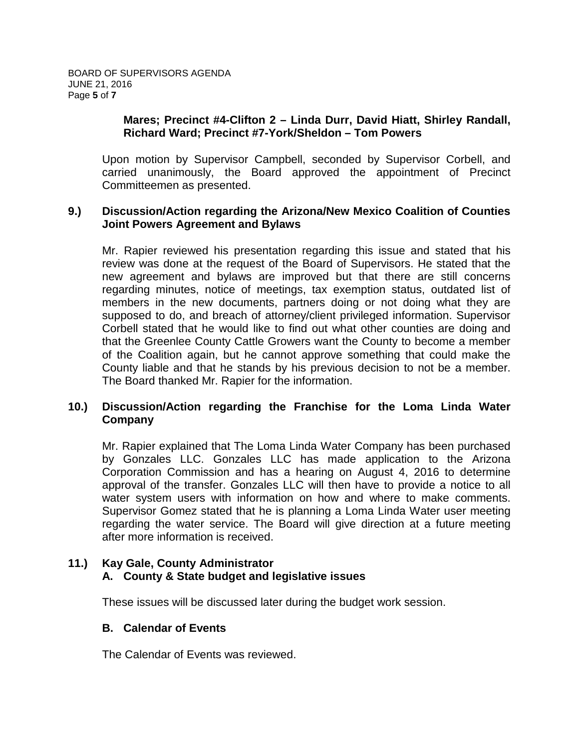#### **Mares; Precinct #4-Clifton 2 – Linda Durr, David Hiatt, Shirley Randall, Richard Ward; Precinct #7-York/Sheldon – Tom Powers**

Upon motion by Supervisor Campbell, seconded by Supervisor Corbell, and carried unanimously, the Board approved the appointment of Precinct Committeemen as presented.

#### **9.) Discussion/Action regarding the Arizona/New Mexico Coalition of Counties Joint Powers Agreement and Bylaws**

Mr. Rapier reviewed his presentation regarding this issue and stated that his review was done at the request of the Board of Supervisors. He stated that the new agreement and bylaws are improved but that there are still concerns regarding minutes, notice of meetings, tax exemption status, outdated list of members in the new documents, partners doing or not doing what they are supposed to do, and breach of attorney/client privileged information. Supervisor Corbell stated that he would like to find out what other counties are doing and that the Greenlee County Cattle Growers want the County to become a member of the Coalition again, but he cannot approve something that could make the County liable and that he stands by his previous decision to not be a member. The Board thanked Mr. Rapier for the information.

## **10.) Discussion/Action regarding the Franchise for the Loma Linda Water Company**

Mr. Rapier explained that The Loma Linda Water Company has been purchased by Gonzales LLC. Gonzales LLC has made application to the Arizona Corporation Commission and has a hearing on August 4, 2016 to determine approval of the transfer. Gonzales LLC will then have to provide a notice to all water system users with information on how and where to make comments. Supervisor Gomez stated that he is planning a Loma Linda Water user meeting regarding the water service. The Board will give direction at a future meeting after more information is received.

#### **11.) Kay Gale, County Administrator A. County & State budget and legislative issues**

These issues will be discussed later during the budget work session.

## **B. Calendar of Events**

The Calendar of Events was reviewed.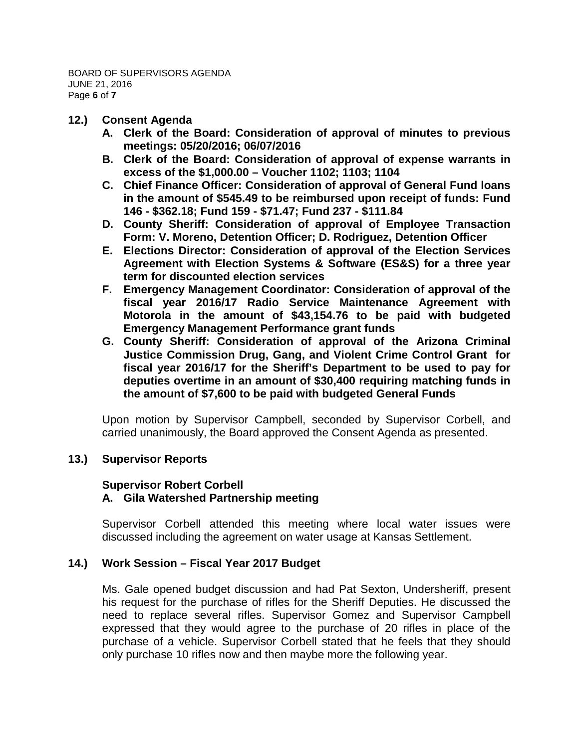- **12.) Consent Agenda**
	- **A. Clerk of the Board: Consideration of approval of minutes to previous meetings: 05/20/2016; 06/07/2016**
	- **B. Clerk of the Board: Consideration of approval of expense warrants in excess of the \$1,000.00 – Voucher 1102; 1103; 1104**
	- **C. Chief Finance Officer: Consideration of approval of General Fund loans in the amount of \$545.49 to be reimbursed upon receipt of funds: Fund 146 - \$362.18; Fund 159 - \$71.47; Fund 237 - \$111.84**
	- **D. County Sheriff: Consideration of approval of Employee Transaction Form: V. Moreno, Detention Officer; D. Rodriguez, Detention Officer**
	- **E. Elections Director: Consideration of approval of the Election Services Agreement with Election Systems & Software (ES&S) for a three year term for discounted election services**
	- **F. Emergency Management Coordinator: Consideration of approval of the fiscal year 2016/17 Radio Service Maintenance Agreement with Motorola in the amount of \$43,154.76 to be paid with budgeted Emergency Management Performance grant funds**
	- **G. County Sheriff: Consideration of approval of the Arizona Criminal Justice Commission Drug, Gang, and Violent Crime Control Grant for fiscal year 2016/17 for the Sheriff's Department to be used to pay for deputies overtime in an amount of \$30,400 requiring matching funds in the amount of \$7,600 to be paid with budgeted General Funds**

Upon motion by Supervisor Campbell, seconded by Supervisor Corbell, and carried unanimously, the Board approved the Consent Agenda as presented.

## **13.) Supervisor Reports**

#### **Supervisor Robert Corbell A. Gila Watershed Partnership meeting**

Supervisor Corbell attended this meeting where local water issues were discussed including the agreement on water usage at Kansas Settlement.

#### **14.) Work Session – Fiscal Year 2017 Budget**

Ms. Gale opened budget discussion and had Pat Sexton, Undersheriff, present his request for the purchase of rifles for the Sheriff Deputies. He discussed the need to replace several rifles. Supervisor Gomez and Supervisor Campbell expressed that they would agree to the purchase of 20 rifles in place of the purchase of a vehicle. Supervisor Corbell stated that he feels that they should only purchase 10 rifles now and then maybe more the following year.